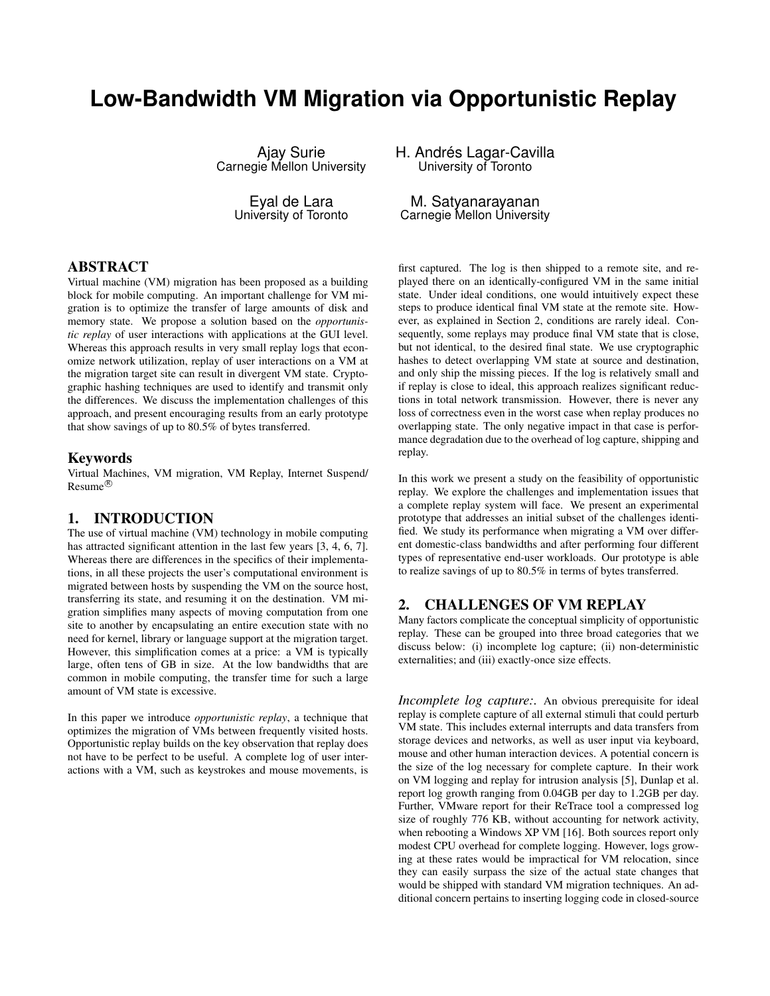# **Low-Bandwidth VM Migration via Opportunistic Replay**

Ajay Surie Carnegie Mellon University

> Eyal de Lara University of Toronto

#### ABSTRACT

Virtual machine (VM) migration has been proposed as a building block for mobile computing. An important challenge for VM migration is to optimize the transfer of large amounts of disk and memory state. We propose a solution based on the *opportunistic replay* of user interactions with applications at the GUI level. Whereas this approach results in very small replay logs that economize network utilization, replay of user interactions on a VM at the migration target site can result in divergent VM state. Cryptographic hashing techniques are used to identify and transmit only the differences. We discuss the implementation challenges of this approach, and present encouraging results from an early prototype that show savings of up to 80.5% of bytes transferred.

#### Keywords

Virtual Machines, VM migration, VM Replay, Internet Suspend/ Resume <sup>R</sup>

# 1. INTRODUCTION

The use of virtual machine (VM) technology in mobile computing has attracted significant attention in the last few years [3, 4, 6, 7]. Whereas there are differences in the specifics of their implementations, in all these projects the user's computational environment is migrated between hosts by suspending the VM on the source host, transferring its state, and resuming it on the destination. VM migration simplifies many aspects of moving computation from one site to another by encapsulating an entire execution state with no need for kernel, library or language support at the migration target. However, this simplification comes at a price: a VM is typically large, often tens of GB in size. At the low bandwidths that are common in mobile computing, the transfer time for such a large amount of VM state is excessive.

In this paper we introduce *opportunistic replay*, a technique that optimizes the migration of VMs between frequently visited hosts. Opportunistic replay builds on the key observation that replay does not have to be perfect to be useful. A complete log of user interactions with a VM, such as keystrokes and mouse movements, is H. Andrés Lagar-Cavilla University of Toronto

M. Satyanarayanan Carnegie Mellon University

first captured. The log is then shipped to a remote site, and replayed there on an identically-configured VM in the same initial state. Under ideal conditions, one would intuitively expect these steps to produce identical final VM state at the remote site. However, as explained in Section 2, conditions are rarely ideal. Consequently, some replays may produce final VM state that is close, but not identical, to the desired final state. We use cryptographic hashes to detect overlapping VM state at source and destination, and only ship the missing pieces. If the log is relatively small and if replay is close to ideal, this approach realizes significant reductions in total network transmission. However, there is never any loss of correctness even in the worst case when replay produces no overlapping state. The only negative impact in that case is performance degradation due to the overhead of log capture, shipping and replay.

In this work we present a study on the feasibility of opportunistic replay. We explore the challenges and implementation issues that a complete replay system will face. We present an experimental prototype that addresses an initial subset of the challenges identified. We study its performance when migrating a VM over different domestic-class bandwidths and after performing four different types of representative end-user workloads. Our prototype is able to realize savings of up to 80.5% in terms of bytes transferred.

#### 2. CHALLENGES OF VM REPLAY

Many factors complicate the conceptual simplicity of opportunistic replay. These can be grouped into three broad categories that we discuss below: (i) incomplete log capture; (ii) non-deterministic externalities; and (iii) exactly-once size effects.

*Incomplete log capture:.* An obvious prerequisite for ideal replay is complete capture of all external stimuli that could perturb VM state. This includes external interrupts and data transfers from storage devices and networks, as well as user input via keyboard, mouse and other human interaction devices. A potential concern is the size of the log necessary for complete capture. In their work on VM logging and replay for intrusion analysis [5], Dunlap et al. report log growth ranging from 0.04GB per day to 1.2GB per day. Further, VMware report for their ReTrace tool a compressed log size of roughly 776 KB, without accounting for network activity, when rebooting a Windows XP VM [16]. Both sources report only modest CPU overhead for complete logging. However, logs growing at these rates would be impractical for VM relocation, since they can easily surpass the size of the actual state changes that would be shipped with standard VM migration techniques. An additional concern pertains to inserting logging code in closed-source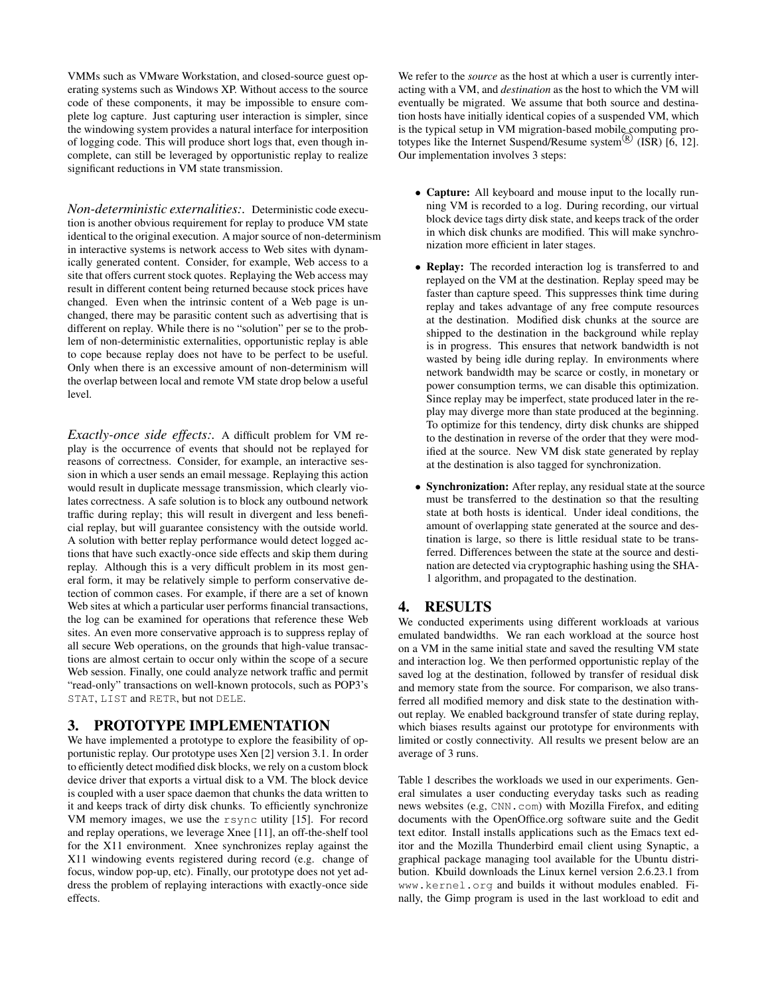VMMs such as VMware Workstation, and closed-source guest operating systems such as Windows XP. Without access to the source code of these components, it may be impossible to ensure complete log capture. Just capturing user interaction is simpler, since the windowing system provides a natural interface for interposition of logging code. This will produce short logs that, even though incomplete, can still be leveraged by opportunistic replay to realize significant reductions in VM state transmission.

*Non-deterministic externalities:.* Deterministic code execution is another obvious requirement for replay to produce VM state identical to the original execution. A major source of non-determinism in interactive systems is network access to Web sites with dynamically generated content. Consider, for example, Web access to a site that offers current stock quotes. Replaying the Web access may result in different content being returned because stock prices have changed. Even when the intrinsic content of a Web page is unchanged, there may be parasitic content such as advertising that is different on replay. While there is no "solution" per se to the problem of non-deterministic externalities, opportunistic replay is able to cope because replay does not have to be perfect to be useful. Only when there is an excessive amount of non-determinism will the overlap between local and remote VM state drop below a useful level.

*Exactly-once side effects:.* A difficult problem for VM replay is the occurrence of events that should not be replayed for reasons of correctness. Consider, for example, an interactive session in which a user sends an email message. Replaying this action would result in duplicate message transmission, which clearly violates correctness. A safe solution is to block any outbound network traffic during replay; this will result in divergent and less beneficial replay, but will guarantee consistency with the outside world. A solution with better replay performance would detect logged actions that have such exactly-once side effects and skip them during replay. Although this is a very difficult problem in its most general form, it may be relatively simple to perform conservative detection of common cases. For example, if there are a set of known Web sites at which a particular user performs financial transactions, the log can be examined for operations that reference these Web sites. An even more conservative approach is to suppress replay of all secure Web operations, on the grounds that high-value transactions are almost certain to occur only within the scope of a secure Web session. Finally, one could analyze network traffic and permit "read-only" transactions on well-known protocols, such as POP3's STAT, LIST and RETR, but not DELE.

# 3. PROTOTYPE IMPLEMENTATION

We have implemented a prototype to explore the feasibility of opportunistic replay. Our prototype uses Xen [2] version 3.1. In order to efficiently detect modified disk blocks, we rely on a custom block device driver that exports a virtual disk to a VM. The block device is coupled with a user space daemon that chunks the data written to it and keeps track of dirty disk chunks. To efficiently synchronize VM memory images, we use the rsync utility [15]. For record and replay operations, we leverage Xnee [11], an off-the-shelf tool for the X11 environment. Xnee synchronizes replay against the X11 windowing events registered during record (e.g. change of focus, window pop-up, etc). Finally, our prototype does not yet address the problem of replaying interactions with exactly-once side effects.

We refer to the *source* as the host at which a user is currently interacting with a VM, and *destination* as the host to which the VM will eventually be migrated. We assume that both source and destination hosts have initially identical copies of a suspended VM, which is the typical setup in VM migration-based mobile computing proto the U<sub>J</sub> predi setup in T<sub>112</sub> ingled to the Internet Suspend/Resume system<sup>(R)</sup> (ISR) [6, 12]. Our implementation involves 3 steps:

- Capture: All keyboard and mouse input to the locally running VM is recorded to a log. During recording, our virtual block device tags dirty disk state, and keeps track of the order in which disk chunks are modified. This will make synchronization more efficient in later stages.
- Replay: The recorded interaction log is transferred to and replayed on the VM at the destination. Replay speed may be faster than capture speed. This suppresses think time during replay and takes advantage of any free compute resources at the destination. Modified disk chunks at the source are shipped to the destination in the background while replay is in progress. This ensures that network bandwidth is not wasted by being idle during replay. In environments where network bandwidth may be scarce or costly, in monetary or power consumption terms, we can disable this optimization. Since replay may be imperfect, state produced later in the replay may diverge more than state produced at the beginning. To optimize for this tendency, dirty disk chunks are shipped to the destination in reverse of the order that they were modified at the source. New VM disk state generated by replay at the destination is also tagged for synchronization.
- Synchronization: After replay, any residual state at the source must be transferred to the destination so that the resulting state at both hosts is identical. Under ideal conditions, the amount of overlapping state generated at the source and destination is large, so there is little residual state to be transferred. Differences between the state at the source and destination are detected via cryptographic hashing using the SHA-1 algorithm, and propagated to the destination.

## 4. RESULTS

We conducted experiments using different workloads at various emulated bandwidths. We ran each workload at the source host on a VM in the same initial state and saved the resulting VM state and interaction log. We then performed opportunistic replay of the saved log at the destination, followed by transfer of residual disk and memory state from the source. For comparison, we also transferred all modified memory and disk state to the destination without replay. We enabled background transfer of state during replay, which biases results against our prototype for environments with limited or costly connectivity. All results we present below are an average of 3 runs.

Table 1 describes the workloads we used in our experiments. General simulates a user conducting everyday tasks such as reading news websites (e.g, CNN.com) with Mozilla Firefox, and editing documents with the OpenOffice.org software suite and the Gedit text editor. Install installs applications such as the Emacs text editor and the Mozilla Thunderbird email client using Synaptic, a graphical package managing tool available for the Ubuntu distribution. Kbuild downloads the Linux kernel version 2.6.23.1 from www.kernel.org and builds it without modules enabled. Finally, the Gimp program is used in the last workload to edit and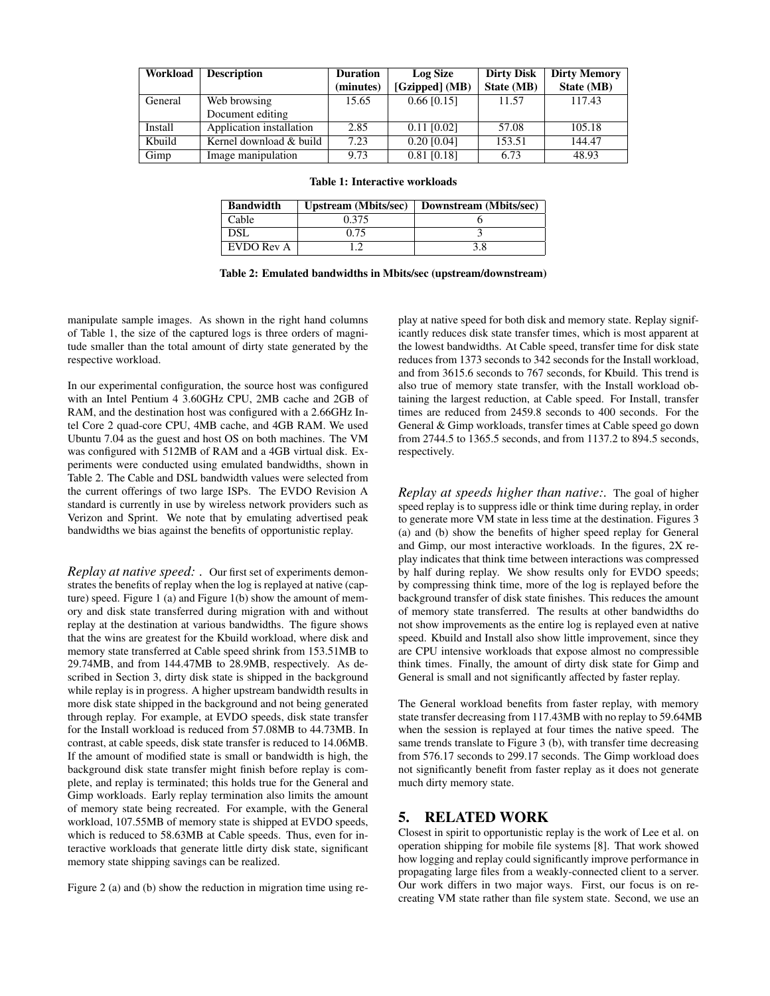| Workload | <b>Description</b>       | <b>Duration</b> | <b>Log Size</b> | <b>Dirty Disk</b> | <b>Dirty Memory</b> |
|----------|--------------------------|-----------------|-----------------|-------------------|---------------------|
|          |                          | (minutes)       | [Gzipped] (MB)  | State (MB)        | State (MB)          |
| General  | Web browsing             | 15.65           | $0.66$ [0.15]   | 11.57             | 117.43              |
|          | Document editing         |                 |                 |                   |                     |
| Install  | Application installation | 2.85            | $0.11$ [0.02]   | 57.08             | 105.18              |
| Kbuild   | Kernel download & build  | 7.23            | $0.20$ [0.04]   | 153.51            | 144.47              |
| Gimp     | Image manipulation       | 9.73            | $0.81$ [0.18]   | 6.73              | 48.93               |

| <b>Bandwidth</b> |       | Upstream (Mbits/sec)   Downstream (Mbits/sec) |
|------------------|-------|-----------------------------------------------|
| Cable            | 0.375 |                                               |
| DSL              | 0.75  |                                               |
| EVDO Rev A       |       | 3.8                                           |

Table 1: Interactive workloads

Table 2: Emulated bandwidths in Mbits/sec (upstream/downstream)

manipulate sample images. As shown in the right hand columns of Table 1, the size of the captured logs is three orders of magnitude smaller than the total amount of dirty state generated by the respective workload.

In our experimental configuration, the source host was configured with an Intel Pentium 4 3.60GHz CPU, 2MB cache and 2GB of RAM, and the destination host was configured with a 2.66GHz Intel Core 2 quad-core CPU, 4MB cache, and 4GB RAM. We used Ubuntu 7.04 as the guest and host OS on both machines. The VM was configured with 512MB of RAM and a 4GB virtual disk. Experiments were conducted using emulated bandwidths, shown in Table 2. The Cable and DSL bandwidth values were selected from the current offerings of two large ISPs. The EVDO Revision A standard is currently in use by wireless network providers such as Verizon and Sprint. We note that by emulating advertised peak bandwidths we bias against the benefits of opportunistic replay.

*Replay at native speed: .* Our first set of experiments demonstrates the benefits of replay when the log is replayed at native (capture) speed. Figure 1 (a) and Figure 1(b) show the amount of memory and disk state transferred during migration with and without replay at the destination at various bandwidths. The figure shows that the wins are greatest for the Kbuild workload, where disk and memory state transferred at Cable speed shrink from 153.51MB to 29.74MB, and from 144.47MB to 28.9MB, respectively. As described in Section 3, dirty disk state is shipped in the background while replay is in progress. A higher upstream bandwidth results in more disk state shipped in the background and not being generated through replay. For example, at EVDO speeds, disk state transfer for the Install workload is reduced from 57.08MB to 44.73MB. In contrast, at cable speeds, disk state transfer is reduced to 14.06MB. If the amount of modified state is small or bandwidth is high, the background disk state transfer might finish before replay is complete, and replay is terminated; this holds true for the General and Gimp workloads. Early replay termination also limits the amount of memory state being recreated. For example, with the General workload, 107.55MB of memory state is shipped at EVDO speeds, which is reduced to 58.63MB at Cable speeds. Thus, even for interactive workloads that generate little dirty disk state, significant memory state shipping savings can be realized.

Figure 2 (a) and (b) show the reduction in migration time using re-

play at native speed for both disk and memory state. Replay significantly reduces disk state transfer times, which is most apparent at the lowest bandwidths. At Cable speed, transfer time for disk state reduces from 1373 seconds to 342 seconds for the Install workload, and from 3615.6 seconds to 767 seconds, for Kbuild. This trend is also true of memory state transfer, with the Install workload obtaining the largest reduction, at Cable speed. For Install, transfer times are reduced from 2459.8 seconds to 400 seconds. For the General & Gimp workloads, transfer times at Cable speed go down from 2744.5 to 1365.5 seconds, and from 1137.2 to 894.5 seconds, respectively.

*Replay at speeds higher than native:.* The goal of higher speed replay is to suppress idle or think time during replay, in order to generate more VM state in less time at the destination. Figures 3 (a) and (b) show the benefits of higher speed replay for General and Gimp, our most interactive workloads. In the figures, 2X replay indicates that think time between interactions was compressed by half during replay. We show results only for EVDO speeds; by compressing think time, more of the log is replayed before the background transfer of disk state finishes. This reduces the amount of memory state transferred. The results at other bandwidths do not show improvements as the entire log is replayed even at native speed. Kbuild and Install also show little improvement, since they are CPU intensive workloads that expose almost no compressible think times. Finally, the amount of dirty disk state for Gimp and General is small and not significantly affected by faster replay.

The General workload benefits from faster replay, with memory state transfer decreasing from 117.43MB with no replay to 59.64MB when the session is replayed at four times the native speed. The same trends translate to Figure 3 (b), with transfer time decreasing from 576.17 seconds to 299.17 seconds. The Gimp workload does not significantly benefit from faster replay as it does not generate much dirty memory state.

## 5. RELATED WORK

Closest in spirit to opportunistic replay is the work of Lee et al. on operation shipping for mobile file systems [8]. That work showed how logging and replay could significantly improve performance in propagating large files from a weakly-connected client to a server. Our work differs in two major ways. First, our focus is on recreating VM state rather than file system state. Second, we use an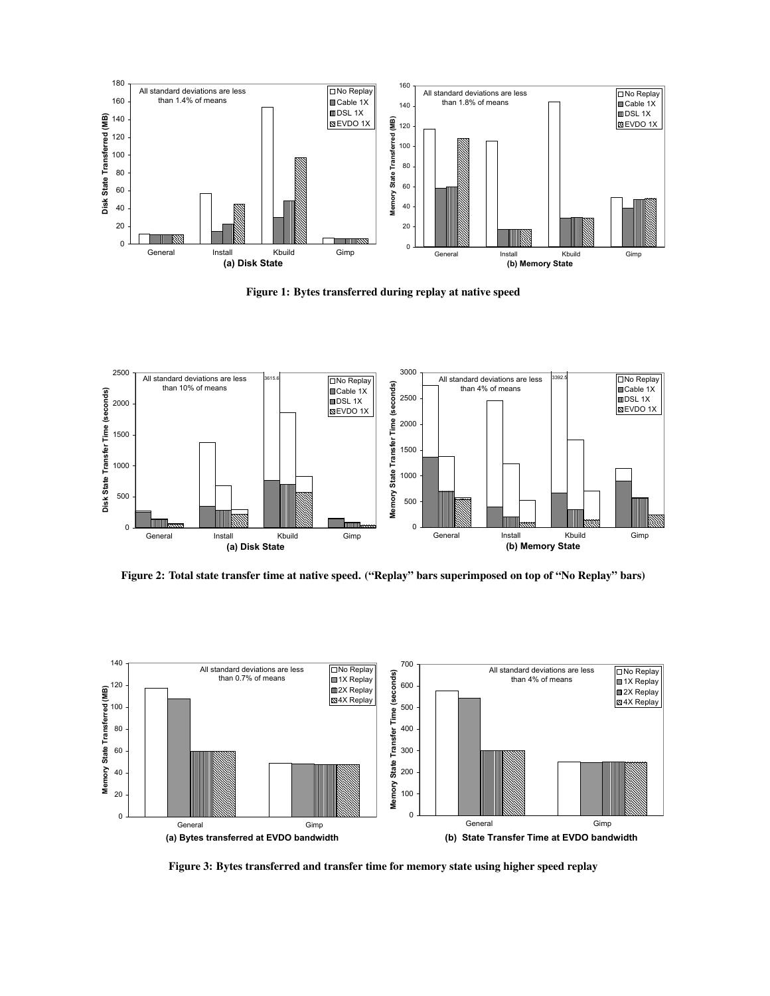

Figure 1: Bytes transferred during replay at native speed



Figure 2: Total state transfer time at native speed. ("Replay" bars superimposed on top of "No Replay" bars)



Figure 3: Bytes transferred and transfer time for memory state using higher speed replay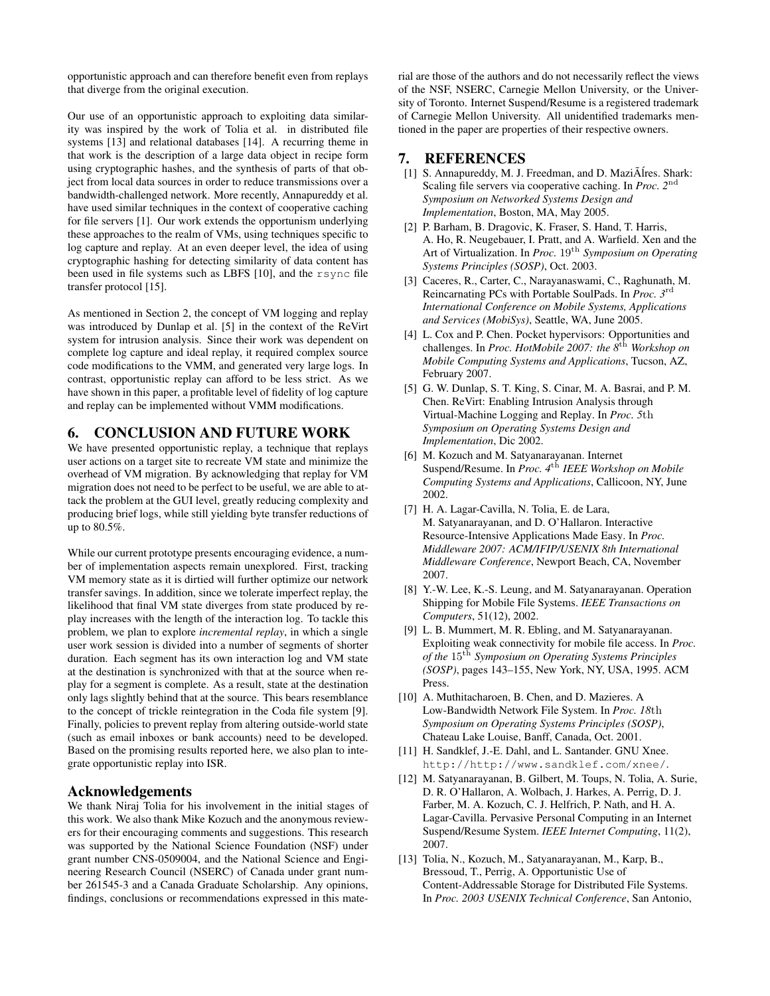opportunistic approach and can therefore benefit even from replays that diverge from the original execution.

Our use of an opportunistic approach to exploiting data similarity was inspired by the work of Tolia et al. in distributed file systems [13] and relational databases [14]. A recurring theme in that work is the description of a large data object in recipe form using cryptographic hashes, and the synthesis of parts of that object from local data sources in order to reduce transmissions over a bandwidth-challenged network. More recently, Annapureddy et al. have used similar techniques in the context of cooperative caching for file servers [1]. Our work extends the opportunism underlying these approaches to the realm of VMs, using techniques specific to log capture and replay. At an even deeper level, the idea of using cryptographic hashing for detecting similarity of data content has been used in file systems such as LBFS [10], and the rsync file transfer protocol [15].

As mentioned in Section 2, the concept of VM logging and replay was introduced by Dunlap et al. [5] in the context of the ReVirt system for intrusion analysis. Since their work was dependent on complete log capture and ideal replay, it required complex source code modifications to the VMM, and generated very large logs. In contrast, opportunistic replay can afford to be less strict. As we have shown in this paper, a profitable level of fidelity of log capture and replay can be implemented without VMM modifications.

## 6. CONCLUSION AND FUTURE WORK

We have presented opportunistic replay, a technique that replays user actions on a target site to recreate VM state and minimize the overhead of VM migration. By acknowledging that replay for VM migration does not need to be perfect to be useful, we are able to attack the problem at the GUI level, greatly reducing complexity and producing brief logs, while still yielding byte transfer reductions of up to 80.5%.

While our current prototype presents encouraging evidence, a number of implementation aspects remain unexplored. First, tracking VM memory state as it is dirtied will further optimize our network transfer savings. In addition, since we tolerate imperfect replay, the likelihood that final VM state diverges from state produced by replay increases with the length of the interaction log. To tackle this problem, we plan to explore *incremental replay*, in which a single user work session is divided into a number of segments of shorter duration. Each segment has its own interaction log and VM state at the destination is synchronized with that at the source when replay for a segment is complete. As a result, state at the destination only lags slightly behind that at the source. This bears resemblance to the concept of trickle reintegration in the Coda file system [9]. Finally, policies to prevent replay from altering outside-world state (such as email inboxes or bank accounts) need to be developed. Based on the promising results reported here, we also plan to integrate opportunistic replay into ISR.

#### Acknowledgements

We thank Niraj Tolia for his involvement in the initial stages of this work. We also thank Mike Kozuch and the anonymous reviewers for their encouraging comments and suggestions. This research was supported by the National Science Foundation (NSF) under grant number CNS-0509004, and the National Science and Engineering Research Council (NSERC) of Canada under grant number 261545-3 and a Canada Graduate Scholarship. Any opinions, findings, conclusions or recommendations expressed in this material are those of the authors and do not necessarily reflect the views of the NSF, NSERC, Carnegie Mellon University, or the University of Toronto. Internet Suspend/Resume is a registered trademark of Carnegie Mellon University. All unidentified trademarks mentioned in the paper are properties of their respective owners.

## 7. REFERENCES

- [1] S. Annapureddy, M. J. Freedman, and D. Mazi $\tilde{A}$  fres. Shark: Scaling file servers via cooperative caching. In *Proc. 2*nd *Symposium on Networked Systems Design and Implementation*, Boston, MA, May 2005.
- [2] P. Barham, B. Dragovic, K. Fraser, S. Hand, T. Harris, A. Ho, R. Neugebauer, I. Pratt, and A. Warfield. Xen and the Art of Virtualization. In *Proc.* 19<sup>th</sup> Symposium on Operating *Systems Principles (SOSP)*, Oct. 2003.
- [3] Caceres, R., Carter, C., Narayanaswami, C., Raghunath, M. Reincarnating PCs with Portable SoulPads. In *Proc. 3*rd *International Conference on Mobile Systems, Applications and Services (MobiSys)*, Seattle, WA, June 2005.
- [4] L. Cox and P. Chen. Pocket hypervisors: Opportunities and challenges. In *Proc. HotMobile 2007: the 8*th *Workshop on Mobile Computing Systems and Applications*, Tucson, AZ, February 2007.
- [5] G. W. Dunlap, S. T. King, S. Cinar, M. A. Basrai, and P. M. Chen. ReVirt: Enabling Intrusion Analysis through Virtual-Machine Logging and Replay. In *Proc. 5*th *Symposium on Operating Systems Design and Implementation*, Dic 2002.
- [6] M. Kozuch and M. Satyanarayanan. Internet Suspend/Resume. In *Proc. 4*th *IEEE Workshop on Mobile Computing Systems and Applications*, Callicoon, NY, June 2002.
- [7] H. A. Lagar-Cavilla, N. Tolia, E. de Lara, M. Satyanarayanan, and D. O'Hallaron. Interactive Resource-Intensive Applications Made Easy. In *Proc. Middleware 2007: ACM/IFIP/USENIX 8th International Middleware Conference*, Newport Beach, CA, November 2007.
- [8] Y.-W. Lee, K.-S. Leung, and M. Satyanarayanan. Operation Shipping for Mobile File Systems. *IEEE Transactions on Computers*, 51(12), 2002.
- [9] L. B. Mummert, M. R. Ebling, and M. Satyanarayanan. Exploiting weak connectivity for mobile file access. In *Proc. of the* 15th *Symposium on Operating Systems Principles (SOSP)*, pages 143–155, New York, NY, USA, 1995. ACM Press.
- [10] A. Muthitacharoen, B. Chen, and D. Mazieres. A Low-Bandwidth Network File System. In *Proc. 18*th *Symposium on Operating Systems Principles (SOSP)*, Chateau Lake Louise, Banff, Canada, Oct. 2001.
- [11] H. Sandklef, J.-E. Dahl, and L. Santander. GNU Xnee. http://http://www.sandklef.com/xnee/.
- [12] M. Satyanarayanan, B. Gilbert, M. Toups, N. Tolia, A. Surie, D. R. O'Hallaron, A. Wolbach, J. Harkes, A. Perrig, D. J. Farber, M. A. Kozuch, C. J. Helfrich, P. Nath, and H. A. Lagar-Cavilla. Pervasive Personal Computing in an Internet Suspend/Resume System. *IEEE Internet Computing*, 11(2), 2007.
- [13] Tolia, N., Kozuch, M., Satyanarayanan, M., Karp, B., Bressoud, T., Perrig, A. Opportunistic Use of Content-Addressable Storage for Distributed File Systems. In *Proc. 2003 USENIX Technical Conference*, San Antonio,